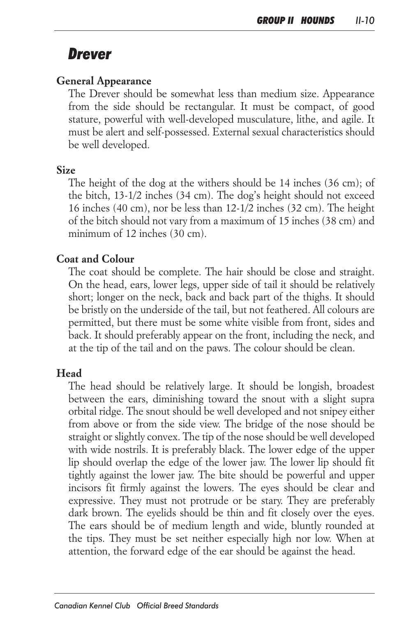# *Drever*

#### *General Appearance*

The Drever should be somewhat less than medium size. Appearance *from the side should be rectangular. It must be compact, of good stature, powerful with well-developed musculature, lithe, and agile. It must be alert and self-possessed. External sexual characteristics should be well developed.*

#### *Size*

The height of the dog at the withers should be 14 inches (36 cm); of *the bitch, 13-1/2 inches (34 cm). The dog's height should not exceed 16 inches (40 cm), nor be less than 12-1/2 inches (32 cm). The height of the bitch should not vary from a maximum of 15 inches (38 cm) and minimum of 12 inches (30 cm).*

#### *Coat and Colour*

*The coat should be complete. The hair should be close and straight. On the head, ears, lower legs, upper side of tail it should be relatively short; longer on the neck, back and back part of the thighs. It should be bristly on the underside of the tail, but not feathered. All colours are permitted, but there must be some white visible from front, sides and*  back. It should preferably appear on the front, including the neck, and *at the tip of the tail and on the paws. The colour should be clean.*

### *Head*

*The head should be relatively large. It should be longish, broadest between the ears, diminishing toward the snout with a slight supra orbital ridge. The snout should be well developed and not snipey either from above or from the side view. The bridge of the nose should be straight or slightly convex. The tip of the nose should be well developed*  with wide nostrils. It is preferably black. The lower edge of the upper *lip should overlap the edge of the lower jaw. The lower lip should fit tightly against the lower jaw. The bite should be powerful and upper* incisors fit firmly against the lowers. The eyes should be clear and *expressive. They must not protrude or be stary. They are preferably*  dark brown. The eyelids should be thin and fit closely over the eyes. The ears should be of medium length and wide, bluntly rounded at the tips. They must be set neither especially high nor low. When at *attention, the forward edge of the ear should be against the head.*